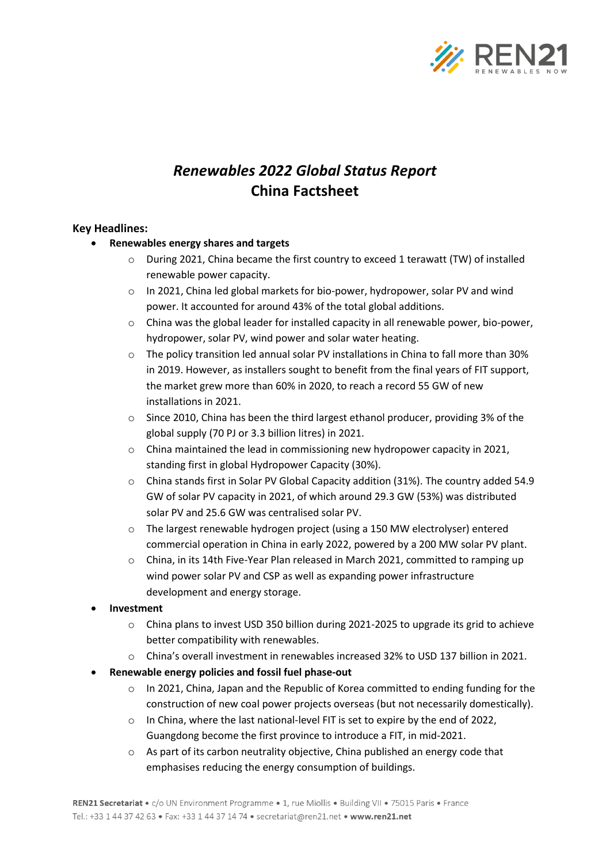

# *Renewables 2022 Global Status Report* **China Factsheet**

#### **Key Headlines:**

- **Renewables energy shares and targets**
	- o During 2021, China became the first country to exceed 1 terawatt (TW) of installed renewable power capacity.
	- o In 2021, China led global markets for bio-power, hydropower, solar PV and wind power. It accounted for around 43% of the total global additions.
	- $\circ$  China was the global leader for installed capacity in all renewable power, bio-power, hydropower, solar PV, wind power and solar water heating.
	- $\circ$  The policy transition led annual solar PV installations in China to fall more than 30% in 2019. However, as installers sought to benefit from the final years of FIT support, the market grew more than 60% in 2020, to reach a record 55 GW of new installations in 2021.
	- $\circ$  Since 2010, China has been the third largest ethanol producer, providing 3% of the global supply (70 PJ or 3.3 billion litres) in 2021.
	- o China maintained the lead in commissioning new hydropower capacity in 2021, standing first in global Hydropower Capacity (30%).
	- o China stands first in Solar PV Global Capacity addition (31%). The country added 54.9 GW of solar PV capacity in 2021, of which around 29.3 GW (53%) was distributed solar PV and 25.6 GW was centralised solar PV.
	- o The largest renewable hydrogen project (using a 150 MW electrolyser) entered commercial operation in China in early 2022, powered by a 200 MW solar PV plant.
	- o China, in its 14th Five-Year Plan released in March 2021, committed to ramping up wind power solar PV and CSP as well as expanding power infrastructure development and energy storage.
- **Investment**
	- $\circ$  China plans to invest USD 350 billion during 2021-2025 to upgrade its grid to achieve better compatibility with renewables.
	- China's overall investment in renewables increased 32% to USD 137 billion in 2021.
- **Renewable energy policies and fossil fuel phase-out**
	- $\circ$  In 2021, China, Japan and the Republic of Korea committed to ending funding for the construction of new coal power projects overseas (but not necessarily domestically).
	- o In China, where the last national-level FIT is set to expire by the end of 2022, Guangdong become the first province to introduce a FIT, in mid-2021.
	- o As part of its carbon neutrality objective, China published an energy code that emphasises reducing the energy consumption of buildings.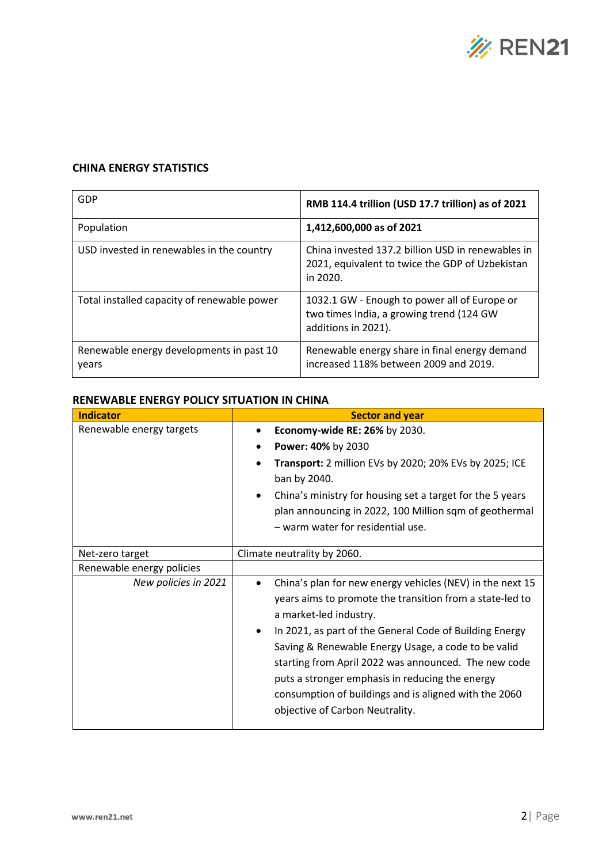

## **CHINA ENERGY STATISTICS**

| GDP                                               | RMB 114.4 trillion (USD 17.7 trillion) as of 2021                                                                |
|---------------------------------------------------|------------------------------------------------------------------------------------------------------------------|
| Population                                        | 1,412,600,000 as of 2021                                                                                         |
| USD invested in renewables in the country         | China invested 137.2 billion USD in renewables in<br>2021, equivalent to twice the GDP of Uzbekistan<br>in 2020. |
| Total installed capacity of renewable power       | 1032.1 GW - Enough to power all of Europe or<br>two times India, a growing trend (124 GW<br>additions in 2021).  |
| Renewable energy developments in past 10<br>years | Renewable energy share in final energy demand<br>increased 118% between 2009 and 2019.                           |

## **RENEWABLE ENERGY POLICY SITUATION IN CHINA**

| <b>Indicator</b>          | <b>Sector and year</b>                                                                                                                                                                                                                                                                                                                                                                                                                                                                             |  |
|---------------------------|----------------------------------------------------------------------------------------------------------------------------------------------------------------------------------------------------------------------------------------------------------------------------------------------------------------------------------------------------------------------------------------------------------------------------------------------------------------------------------------------------|--|
| Renewable energy targets  | Economy-wide RE: 26% by 2030.                                                                                                                                                                                                                                                                                                                                                                                                                                                                      |  |
|                           | Power: 40% by 2030                                                                                                                                                                                                                                                                                                                                                                                                                                                                                 |  |
|                           | Transport: 2 million EVs by 2020; 20% EVs by 2025; ICE<br>ban by 2040.                                                                                                                                                                                                                                                                                                                                                                                                                             |  |
|                           | China's ministry for housing set a target for the 5 years<br>$\bullet$<br>plan announcing in 2022, 100 Million sqm of geothermal<br>- warm water for residential use.                                                                                                                                                                                                                                                                                                                              |  |
| Net-zero target           | Climate neutrality by 2060.                                                                                                                                                                                                                                                                                                                                                                                                                                                                        |  |
| Renewable energy policies |                                                                                                                                                                                                                                                                                                                                                                                                                                                                                                    |  |
| New policies in 2021      | China's plan for new energy vehicles (NEV) in the next 15<br>$\bullet$<br>years aims to promote the transition from a state-led to<br>a market-led industry.<br>In 2021, as part of the General Code of Building Energy<br>$\bullet$<br>Saving & Renewable Energy Usage, a code to be valid<br>starting from April 2022 was announced. The new code<br>puts a stronger emphasis in reducing the energy<br>consumption of buildings and is aligned with the 2060<br>objective of Carbon Neutrality. |  |